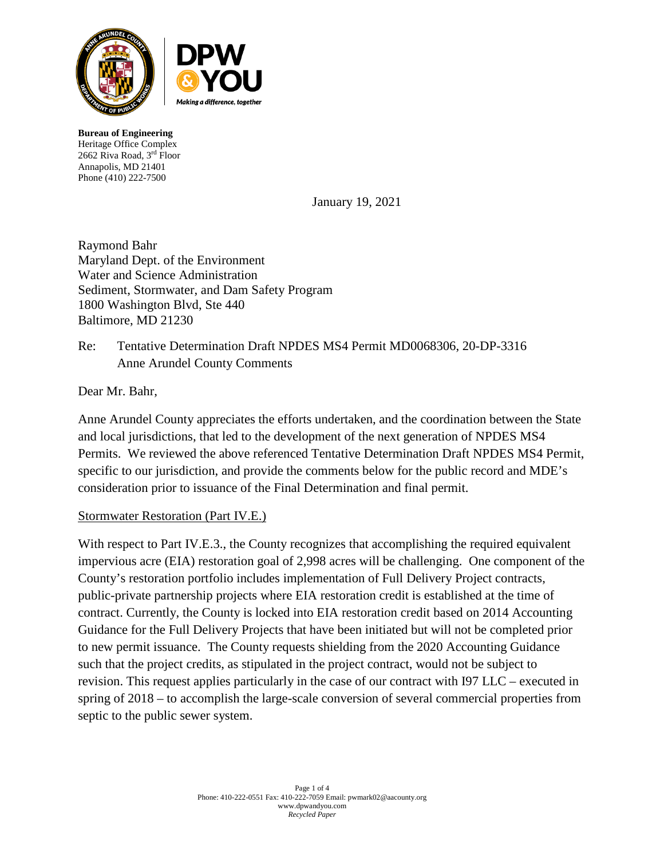

**Bureau of Engineering** Heritage Office Complex 2662 Riva Road, 3rd Floor Annapolis, MD 21401 Phone (410) 222-7500

January 19, 2021

Raymond Bahr Maryland Dept. of the Environment Water and Science Administration Sediment, Stormwater, and Dam Safety Program 1800 Washington Blvd, Ste 440 Baltimore, MD 21230

# Re: Tentative Determination Draft NPDES MS4 Permit MD0068306, 20-DP-3316 Anne Arundel County Comments

Dear Mr. Bahr,

Anne Arundel County appreciates the efforts undertaken, and the coordination between the State and local jurisdictions, that led to the development of the next generation of NPDES MS4 Permits. We reviewed the above referenced Tentative Determination Draft NPDES MS4 Permit, specific to our jurisdiction, and provide the comments below for the public record and MDE's consideration prior to issuance of the Final Determination and final permit.

### Stormwater Restoration (Part IV.E.)

With respect to Part IV.E.3., the County recognizes that accomplishing the required equivalent impervious acre (EIA) restoration goal of 2,998 acres will be challenging. One component of the County's restoration portfolio includes implementation of Full Delivery Project contracts, public-private partnership projects where EIA restoration credit is established at the time of contract. Currently, the County is locked into EIA restoration credit based on 2014 Accounting Guidance for the Full Delivery Projects that have been initiated but will not be completed prior to new permit issuance. The County requests shielding from the 2020 Accounting Guidance such that the project credits, as stipulated in the project contract, would not be subject to revision. This request applies particularly in the case of our contract with I97 LLC – executed in spring of 2018 – to accomplish the large-scale conversion of several commercial properties from septic to the public sewer system.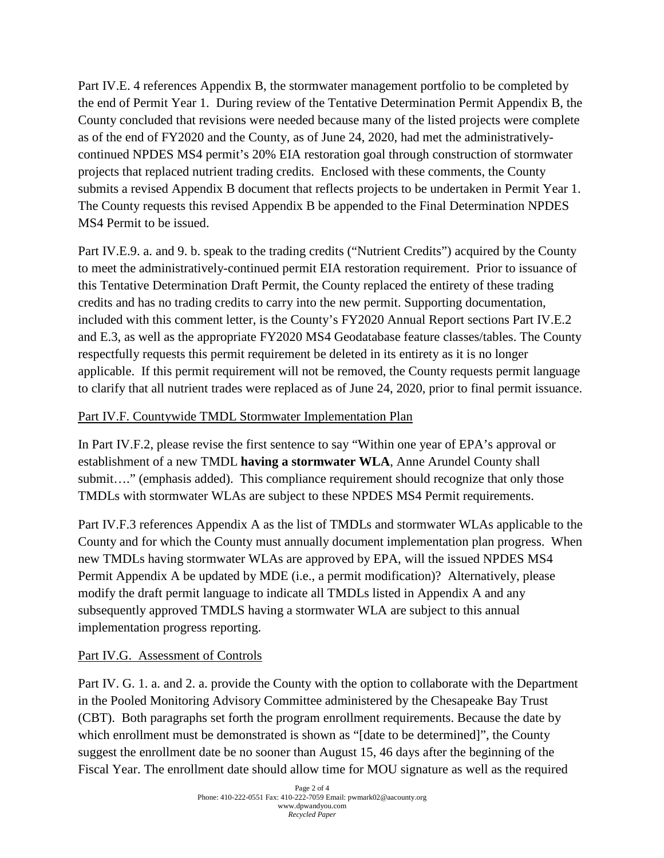Part IV.E. 4 references Appendix B, the stormwater management portfolio to be completed by the end of Permit Year 1. During review of the Tentative Determination Permit Appendix B, the County concluded that revisions were needed because many of the listed projects were complete as of the end of FY2020 and the County, as of June 24, 2020, had met the administrativelycontinued NPDES MS4 permit's 20% EIA restoration goal through construction of stormwater projects that replaced nutrient trading credits. Enclosed with these comments, the County submits a revised Appendix B document that reflects projects to be undertaken in Permit Year 1. The County requests this revised Appendix B be appended to the Final Determination NPDES MS4 Permit to be issued.

Part IV.E.9. a. and 9. b. speak to the trading credits ("Nutrient Credits") acquired by the County to meet the administratively-continued permit EIA restoration requirement. Prior to issuance of this Tentative Determination Draft Permit, the County replaced the entirety of these trading credits and has no trading credits to carry into the new permit. Supporting documentation, included with this comment letter, is the County's FY2020 Annual Report sections Part IV.E.2 and E.3, as well as the appropriate FY2020 MS4 Geodatabase feature classes/tables. The County respectfully requests this permit requirement be deleted in its entirety as it is no longer applicable. If this permit requirement will not be removed, the County requests permit language to clarify that all nutrient trades were replaced as of June 24, 2020, prior to final permit issuance.

### Part IV.F. Countywide TMDL Stormwater Implementation Plan

In Part IV.F.2, please revise the first sentence to say "Within one year of EPA's approval or establishment of a new TMDL **having a stormwater WLA**, Anne Arundel County shall submit…." (emphasis added). This compliance requirement should recognize that only those TMDLs with stormwater WLAs are subject to these NPDES MS4 Permit requirements.

Part IV.F.3 references Appendix A as the list of TMDLs and stormwater WLAs applicable to the County and for which the County must annually document implementation plan progress. When new TMDLs having stormwater WLAs are approved by EPA, will the issued NPDES MS4 Permit Appendix A be updated by MDE (i.e., a permit modification)? Alternatively, please modify the draft permit language to indicate all TMDLs listed in Appendix A and any subsequently approved TMDLS having a stormwater WLA are subject to this annual implementation progress reporting.

#### Part IV.G. Assessment of Controls

Part IV. G. 1. a. and 2. a. provide the County with the option to collaborate with the Department in the Pooled Monitoring Advisory Committee administered by the Chesapeake Bay Trust (CBT). Both paragraphs set forth the program enrollment requirements. Because the date by which enrollment must be demonstrated is shown as "[date to be determined]", the County suggest the enrollment date be no sooner than August 15, 46 days after the beginning of the Fiscal Year. The enrollment date should allow time for MOU signature as well as the required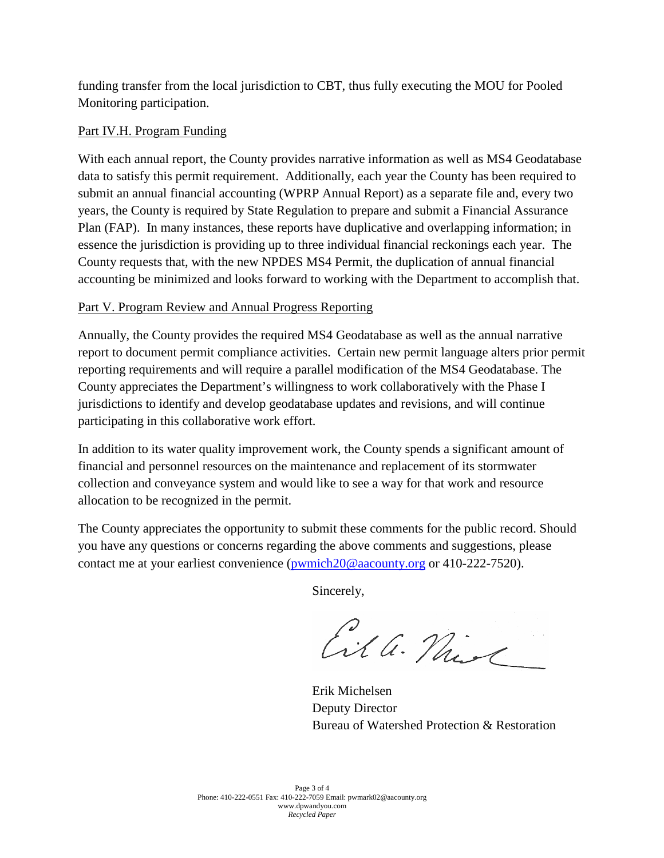funding transfer from the local jurisdiction to CBT, thus fully executing the MOU for Pooled Monitoring participation.

### Part IV.H. Program Funding

With each annual report, the County provides narrative information as well as MS4 Geodatabase data to satisfy this permit requirement. Additionally, each year the County has been required to submit an annual financial accounting (WPRP Annual Report) as a separate file and, every two years, the County is required by State Regulation to prepare and submit a Financial Assurance Plan (FAP). In many instances, these reports have duplicative and overlapping information; in essence the jurisdiction is providing up to three individual financial reckonings each year. The County requests that, with the new NPDES MS4 Permit, the duplication of annual financial accounting be minimized and looks forward to working with the Department to accomplish that.

## Part V. Program Review and Annual Progress Reporting

Annually, the County provides the required MS4 Geodatabase as well as the annual narrative report to document permit compliance activities. Certain new permit language alters prior permit reporting requirements and will require a parallel modification of the MS4 Geodatabase. The County appreciates the Department's willingness to work collaboratively with the Phase I jurisdictions to identify and develop geodatabase updates and revisions, and will continue participating in this collaborative work effort.

In addition to its water quality improvement work, the County spends a significant amount of financial and personnel resources on the maintenance and replacement of its stormwater collection and conveyance system and would like to see a way for that work and resource allocation to be recognized in the permit.

The County appreciates the opportunity to submit these comments for the public record. Should you have any questions or concerns regarding the above comments and suggestions, please contact me at your earliest convenience (pwmich20@aacounty.org or 410-222-7520).

Sincerely,

Cil a. Naise

Erik Michelsen Deputy Director Bureau of Watershed Protection & Restoration